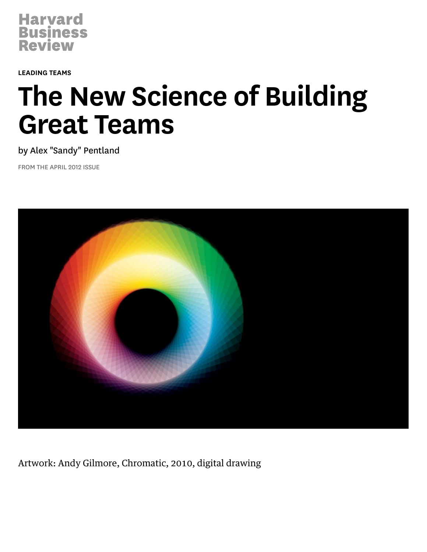

[LEADING TEAMS](https://hbr.org/topic/leading-teams)

# The New Science of Building Great Teams

by [Alex "Sandy" Pentland](https://hbr.org/search?term=alex+)

FROM THE APRIL 2012 ISSUE



Artwork: Andy Gilmore, Chromatic, 2010, digital drawing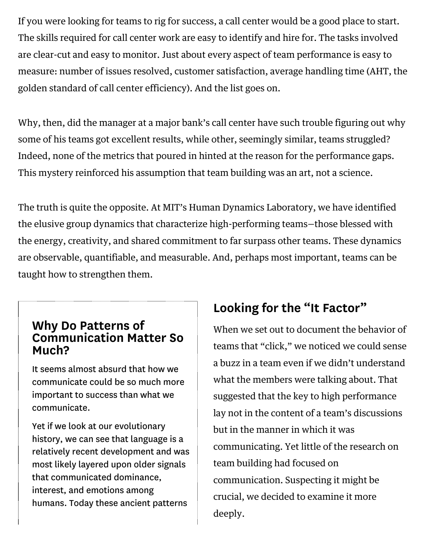If you were looking for teams to rig for success, a call center would be a good place to start. The skills required for call center work are easy to identify and hire for. The tasks involved are clear-cut and easy to monitor. Just about every aspect of team performance is easy to measure: number of issues resolved, customer satisfaction, average handling time (AHT, the golden standard of call center efficiency). And the list goes on.

Why, then, did the manager at a major bank's call center have such trouble figuring out why some of his teams got excellent results, while other, seemingly similar, teams struggled? Indeed, none of the metrics that poured in hinted at the reason for the performance gaps. This mystery reinforced his assumption that team building was an art, not a science.

The truth is quite the opposite. At MIT's Human Dynamics Laboratory, we have identified the elusive group dynamics that characterize high-performing teams—those blessed with the energy, creativity, and shared commitment to far surpass other teams. These dynamics are observable, quantifiable, and measurable. And, perhaps most important, teams can be taught how to strengthen them.

## Why Do Patterns of Communication Matter So Much?

It seems almost absurd that how we communicate could be so much more important to success than what we communicate.

Yet if we look at our evolutionary history, we can see that language is a relatively recent development and was most likely layered upon older signals that communicated dominance, interest, and emotions among humans. Today these ancient patterns

# Looking for the "It Factor"

When we set out to document the behavior of teams that "click," we noticed we could sense a buzz in a team even if we didn't understand what the members were talking about. That suggested that the key to high performance lay not in the content of a team's discussions but in the manner in which it was communicating. Yet little of the research on team building had focused on communication. Suspecting it might be crucial, we decided to examine it more deeply.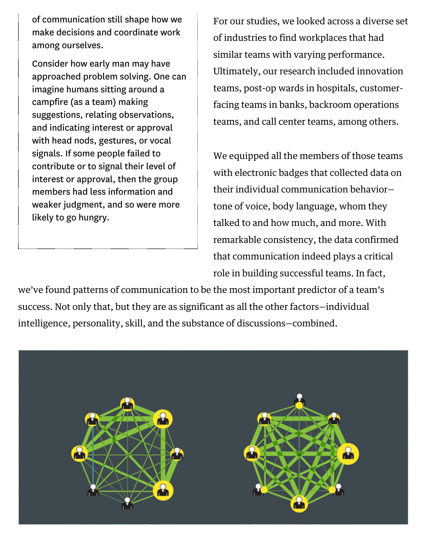of communication still shape how we make decisions and coordinate work among ourselves.

Consider how early man may have approached problem solving. One can imagine humans sitting around a campfire (as a team) making suggestions, relating observations, and indicating interest or approval with head nods, gestures, or vocal signals. If some people failed to contribute or to signal their level of interest or approval, then the group members had less information and weaker judgment, and so were more likely to go hungry.

For our studies, we looked across a diverse set of industries to find workplaces that had similar teams with varying performance. Ultimately, our research included innovation teams, post-op wards in hospitals, customerfacing teams in banks, backroom operations teams, and call center teams, among others.

We equipped all the members of those teams with electronic badges that collected data on their individual communication behavior tone of voice, body language, whom they talked to and how much, and more. With remarkable consistency, the data confirmed that communication indeed plays a critical role in building successful teams. In fact,

we've found patterns of communication to be the most important predictor of a team's success. Not only that, but they are as significant as all the other factors—individual intelligence, personality, skill, and the substance of discussions—combined.

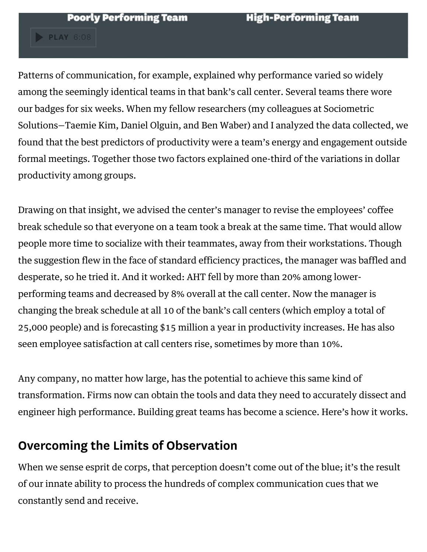#### **PLAY** 6:08

Patterns of communication, for example, explained why performance varied so widely among the seemingly identical teams in that bank's call center. Several teams there wore our badges for six weeks. When my fellow researchers (my colleagues at Sociometric Solutions—Taemie Kim, Daniel Olguin, and Ben Waber) and I analyzed the data collected, we found that the best predictors of productivity were a team's energy and engagement outside formal meetings. Together those two factors explained one-third of the variations in dollar productivity among groups.

Drawing on that insight, we advised the center's manager to revise the employees' coffee break schedule so that everyone on a team took a break at the same time. That would allow people more time to socialize with their teammates, away from their workstations. Though the suggestion flew in the face of standard efficiency practices, the manager was baffled and desperate, so he tried it. And it worked: AHT fell by more than 20% among lowerperforming teams and decreased by 8% overall at the call center. Now the manager is changing the break schedule at all 10 of the bank's call centers (which employ a total of 25,000 people) and is forecasting \$15 million a year in productivity increases. He has also seen employee satisfaction at call centers rise, sometimes by more than 10%.

Any company, no matter how large, has the potential to achieve this same kind of transformation. Firms now can obtain the tools and data they need to accurately dissect and engineer high performance. Building great teams has become a science. Here's how it works.

## Overcoming the Limits of Observation

When we sense esprit de corps, that perception doesn't come out of the blue; it's the result of our innate ability to process the hundreds of complex communication cues that we constantly send and receive.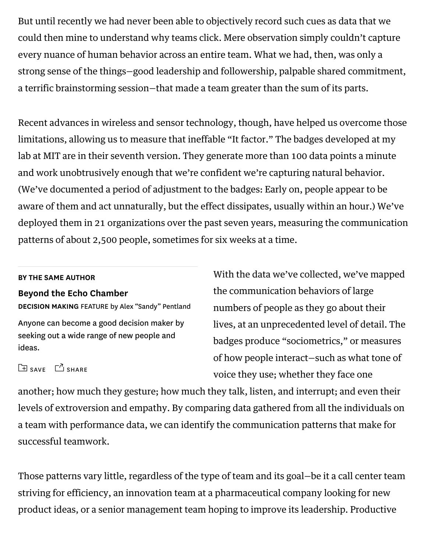But until recently we had never been able to objectively record such cues as data that we could then mine to understand why teams click. Mere observation simply couldn't capture every nuance of human behavior across an entire team. What we had, then, was only a strong sense of the things—good leadership and followership, palpable shared commitment, a terrific brainstorming session—that made a team greater than the sum of its parts.

Recent advances in wireless and sensor technology, though, have helped us overcome those limitations, allowing us to measure that ineffable "It factor." The badges developed at my lab at MIT are in their seventh version. They generate more than 100 data points a minute and work unobtrusively enough that we're confident we're capturing natural behavior. (We've documented a period of adjustment to the badges: Early on, people appear to be aware of them and act unnaturally, but the effect dissipates, usually within an hour.) We've deployed them in 21 organizations over the past seven years, measuring the communication patterns of about 2,500 people, sometimes for six weeks at a time.

#### BY THE SAME AUTHOR

 $\Box$  [SAVE](https://hbr.org/2012/04/the-new-science-of-building-great-teams#)  $\Box$  [SHARE](https://hbr.org/2012/04/the-new-science-of-building-great-teams#)

[Beyond the Echo Chamber](https://hbr.org/2013/11/beyond-the-echo-chamber/ar/1) DECISION MAKING FEATURE by Alex "Sandy" Pentland

Anyone can become a good decision maker by seeking out a wide range of new people and ideas.

With the data we've collected, we've mapped the communication behaviors of large numbers of people as they go about their lives, at an unprecedented level of detail. The badges produce "sociometrics," or measures of how people interact—such as what tone of voice they use; whether they face one

another; how much they gesture; how much they talk, listen, and interrupt; and even their levels of extroversion and empathy. By comparing data gathered from all the individuals on a team with performance data, we can identify the communication patterns that make for successful teamwork.

Those patterns vary little, regardless of the type of team and its goal—be it a call center team striving for efficiency, an innovation team at a pharmaceutical company looking for new product ideas, or a senior management team hoping to improve its leadership. Productive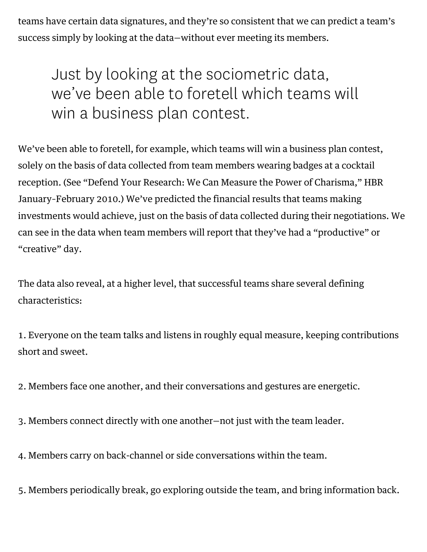teams have certain data signatures, and they're so consistent that we can predict a team's success simply by looking at the data—without ever meeting its members.

# Just by looking at the sociometric data, we've been able to foretell which teams will win a business plan contest.

We've been able to foretell, for example, which teams will win a business plan contest, solely on the basis of data collected from team members wearing badges at a cocktail reception. (See ["Defend Your Research: We Can Measure the Power of Charisma,"](https://hbr.org/2010/01/defend-your-research-we-can-measure-the-power-of-charisma/ar/1) HBR January–February 2010.) We've predicted the financial results that teams making investments would achieve, just on the basis of data collected during their negotiations. We can see in the data when team members will report that they've had a "productive" or "creative" day.

The data also reveal, at a higher level, that successful teams share several defining characteristics:

1. Everyone on the team talks and listens in roughly equal measure, keeping contributions short and sweet.

2. Members face one another, and their conversations and gestures are energetic.

3. Members connect directly with one another—not just with the team leader.

4. Members carry on back-channel or side conversations within the team.

5. Members periodically break, go exploring outside the team, and bring information back.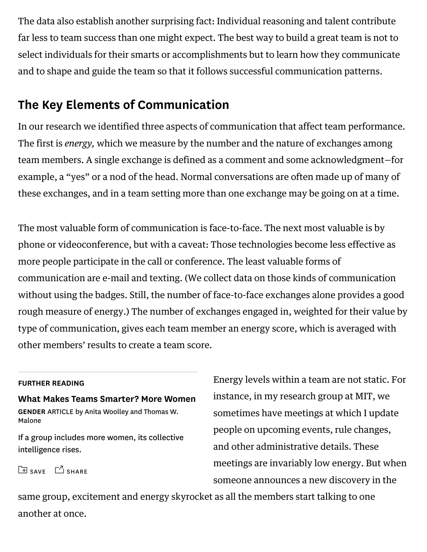The data also establish another surprising fact: Individual reasoning and talent contribute far less to team success than one might expect. The best way to build a great team is not to select individuals for their smarts or accomplishments but to learn how they communicate and to shape and guide the team so that it follows successful communication patterns.

# The Key Elements of Communication

In our research we identified three aspects of communication that affect team performance. The first is *energy,* which we measure by the number and the nature of exchanges among team members. A single exchange is defined as a comment and some acknowledgment—for example, a "yes" or a nod of the head. Normal conversations are often made up of many of these exchanges, and in a team setting more than one exchange may be going on at a time.

The most valuable form of communication is face-to-face. The next most valuable is by phone or videoconference, but with a caveat: Those technologies become less effective as more people participate in the call or conference. The least valuable forms of communication are e-mail and texting. (We collect data on those kinds of communication without using the badges. Still, the number of face-to-face exchanges alone provides a good rough measure of energy.) The number of exchanges engaged in, weighted for their value by type of communication, gives each team member an energy score, which is averaged with other members' results to create a team score.

#### FURTHER READING

[What Makes Teams Smarter? More Women](https://hbr.org/2011/06/defend-your-research-what-makes-a-team-smarter-more-women/ar/1) GENDER ARTICLE by Anita Woolley and Thomas W. Malone

If a group includes more women, its collective intelligence rises.

 $\boxed{+}$  [SAVE](https://hbr.org/2012/04/the-new-science-of-building-great-teams#)  $\boxed{^7}$  [SHARE](https://hbr.org/2012/04/the-new-science-of-building-great-teams#)

Energy levels within a team are not static. For instance, in my research group at MIT, we sometimes have meetings at which I update people on upcoming events, rule changes, and other administrative details. These meetings are invariably low energy. But when someone announces a new discovery in the

same group, excitement and energy skyrocket as all the members start talking to one another at once.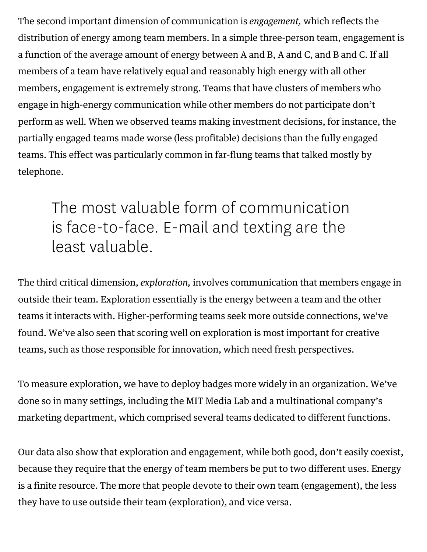The second important dimension of communication is *engagement,* which reflects the distribution of energy among team members. In a simple three-person team, engagement is a function of the average amount of energy between A and B, A and C, and B and C. If all members of a team have relatively equal and reasonably high energy with all other members, engagement is extremely strong. Teams that have clusters of members who engage in high-energy communication while other members do not participate don't perform as well. When we observed teams making investment decisions, for instance, the partially engaged teams made worse (less profitable) decisions than the fully engaged teams. This effect was particularly common in far-flung teams that talked mostly by telephone.

# The most valuable form of communication is face-to-face. E-mail and texting are the least valuable.

The third critical dimension, *exploration,* involves communication that members engage in outside their team. Exploration essentially is the energy between a team and the other teams it interacts with. Higher-performing teams seek more outside connections, we've found. We've also seen that scoring well on exploration is most important for creative teams, such as those responsible for innovation, which need fresh perspectives.

To measure exploration, we have to deploy badges more widely in an organization. We've done so in many settings, including the MIT Media Lab and a multinational company's marketing department, which comprised several teams dedicated to different functions.

Our data also show that exploration and engagement, while both good, don't easily coexist, because they require that the energy of team members be put to two different uses. Energy is a finite resource. The more that people devote to their own team (engagement), the less they have to use outside their team (exploration), and vice versa.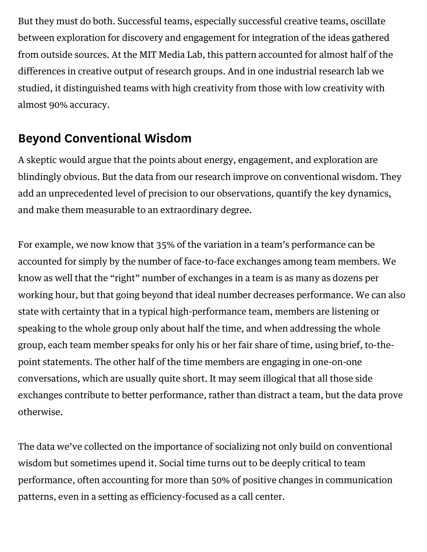But they must do both. Successful teams, especially successful creative teams, oscillate between exploration for discovery and engagement for integration of the ideas gathered from outside sources. At the MIT Media Lab, this pattern accounted for almost half of the differences in creative output of research groups. And in one industrial research lab we studied, it distinguished teams with high creativity from those with low creativity with almost 90% accuracy.

# Beyond Conventional Wisdom

A skeptic would argue that the points about energy, engagement, and exploration are blindingly obvious. But the data from our research improve on conventional wisdom. They add an unprecedented level of precision to our observations, quantify the key dynamics, and make them measurable to an extraordinary degree.

For example, we now know that 35% of the variation in a team's performance can be accounted for simply by the number of face-to-face exchanges among team members. We know as well that the "right" number of exchanges in a team is as many as dozens per working hour, but that going beyond that ideal number decreases performance. We can also state with certainty that in a typical high-performance team, members are listening or speaking to the whole group only about half the time, and when addressing the whole group, each team member speaks for only his or her fair share of time, using brief, to-thepoint statements. The other half of the time members are engaging in one-on-one conversations, which are usually quite short. It may seem illogical that all those side exchanges contribute to better performance, rather than distract a team, but the data prove otherwise.

The data we've collected on the importance of socializing not only build on conventional wisdom but sometimes upend it. Social time turns out to be deeply critical to team performance, often accounting for more than 50% of positive changes in communication patterns, even in a setting as efficiency-focused as a call center.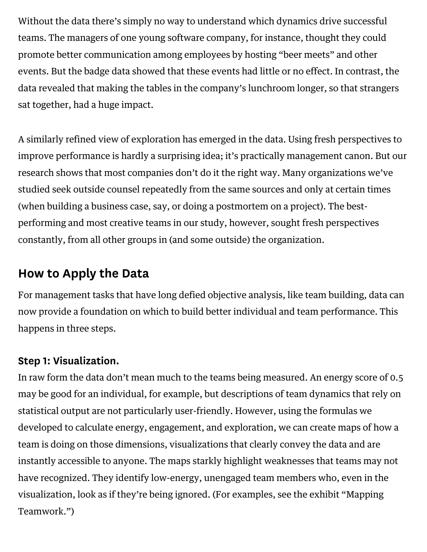Without the data there's simply no way to understand which dynamics drive successful teams. The managers of one young software company, for instance, thought they could promote better communication among employees by hosting "beer meets" and other events. But the badge data showed that these events had little or no effect. In contrast, the data revealed that making the tables in the company's lunchroom longer, so that strangers sat together, had a huge impact.

A similarly refined view of exploration has emerged in the data. Using fresh perspectives to improve performance is hardly a surprising idea; it's practically management canon. But our research shows that most companies don't do it the right way. Many organizations we've studied seek outside counsel repeatedly from the same sources and only at certain times (when building a business case, say, or doing a postmortem on a project). The bestperforming and most creative teams in our study, however, sought fresh perspectives constantly, from all other groups in (and some outside) the organization.

# How to Apply the Data

For management tasks that have long defied objective analysis, like team building, data can now provide a foundation on which to build better individual and team performance. This happens in three steps.

## Step 1: Visualization.

In raw form the data don't mean much to the teams being measured. An energy score of 0.5 may be good for an individual, for example, but descriptions of team dynamics that rely on statistical output are not particularly user-friendly. However, using the formulas we developed to calculate energy, engagement, and exploration, we can create maps of how a team is doing on those dimensions, visualizations that clearly convey the data and are instantly accessible to anyone. The maps starkly highlight weaknesses that teams may not have recognized. They identify low-energy, unengaged team members who, even in the visualization, look as if they're being ignored. (For examples, see the exhibit "Mapping Teamwork.")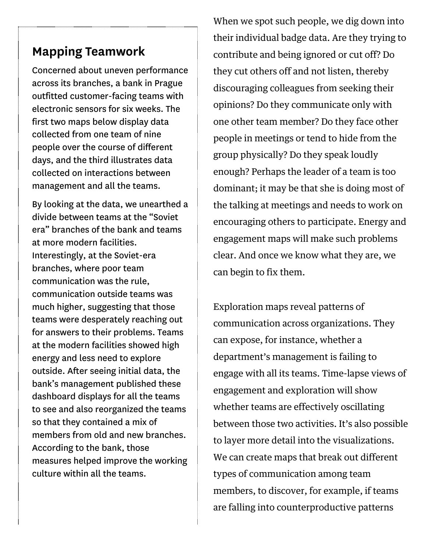## Mapping Teamwork

Concerned about uneven performance across its branches, a bank in Prague outfitted customer-facing teams with electronic sensors for six weeks. The first two maps below display data collected from one team of nine people over the course of different days, and the third illustrates data collected on interactions between management and all the teams.

By looking at the data, we unearthed a divide between teams at the "Soviet era" branches of the bank and teams at more modern facilities. Interestingly, at the Soviet-era branches, where poor team communication was the rule, communication outside teams was much higher, suggesting that those teams were desperately reaching out for answers to their problems. Teams at the modern facilities showed high energy and less need to explore outside. After seeing initial data, the bank's management published these dashboard displays for all the teams to see and also reorganized the teams so that they contained a mix of members from old and new branches. According to the bank, those measures helped improve the working culture within all the teams.

When we spot such people, we dig down into their individual badge data. Are they trying to contribute and being ignored or cut off? Do they cut others off and not listen, thereby discouraging colleagues from seeking their opinions? Do they communicate only with one other team member? Do they face other people in meetings or tend to hide from the group physically? Do they speak loudly enough? Perhaps the leader of a team is too dominant; it may be that she is doing most of the talking at meetings and needs to work on encouraging others to participate. Energy and engagement maps will make such problems clear. And once we know what they are, we can begin to fix them.

Exploration maps reveal patterns of communication across organizations. They can expose, for instance, whether a department's management is failing to engage with all its teams. Time-lapse views of engagement and exploration will show whether teams are effectively oscillating between those two activities. It's also possible to layer more detail into the visualizations. We can create maps that break out different types of communication among team members, to discover, for example, if teams are falling into counterproductive patterns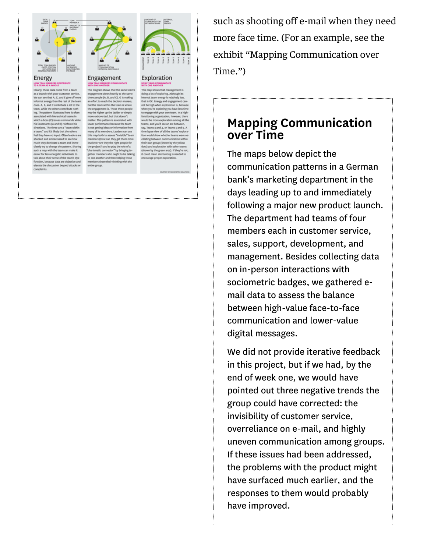

**HOW TEAM MEND**<br>TO A TEAM AS A V

To a TEM AS a Weidla<br>cone from a team<br>at a branch with poor customer fermice.<br>at a branch with poor customer service.<br>We can see that A, C, and E give off more<br>linearing than the rest of the team<br>does. A, B, and C contrib which a boss (C) issues commands while<br>his lieutenants (A and B) reinforce his directions. The three are a "team within<br>a team," and it's likely that the others feel they have no input. Often leaders are<br>shocked and embarrassed to see how ch they dominate a team and immemuch they dominate a team and imme-<br>diately try to change the pattern. Sharing<br>such a map with the team can make it<br>such a map with the team can make it<br>talk about their sense of the team's dys-<br>function, because data are



Exploration

## Engagement

ire group

Now THAME COMMUNICATE<br>With MAR AMOTHER<br>This may shows that management is<br>this may shows that management is<br>internal team energy in relatively low,<br>then it is ox. Energy and engagement can-<br>not be high when exploration is, This diagram shows that the same team's<br>engagement skewn heavily to the same shows the same site of the same<br>of the people (A, B, and C). G is making an effort to reach the decision makers,<br>but the team within the team is functioning organization, however, there<br>would be more exploration among all the<br>teams, and you'd see an arc between,<br>say, Teams 3 and 4, or Teams 5 and 9. A matter. This pattern is associated with lower performance because the team is not getting ideas or information from is not getting ideas or information from<br>many of its members, Leaders can use this map both to assess "invisible" team<br>members (how can they get them more members) (how can they get them more<br>involved 7 Are they the right time lapse view of all the teams' explora tion would show whether teams were or tion would show whether ceams were<br>clising between communication within<br>their own group (shown by the yellow<br>dots) and exploration with other teams<br>(shown by the green arcs). If they're not,<br>it could mean silo busting is n

such as shooting off e-mail when they need more face time. (For an example, see the exhibit "Mapping Communication over Time.")

#### Mapping Communication over Time

The maps below depict the communication patterns in a German bank's marketing department in the days leading up to and immediately following a major new product launch. The department had teams of four members each in customer service, sales, support, development, and management. Besides collecting data on in-person interactions with sociometric badges, we gathered email data to assess the balance between high-value face-to-face communication and lower-value digital messages.

We did not provide iterative feedback in this project, but if we had, by the end of week one, we would have pointed out three negative trends the group could have corrected: the invisibility of customer service, overreliance on e-mail, and highly uneven communication among groups. If these issues had been addressed, the problems with the product might have surfaced much earlier, and the responses to them would probably have improved.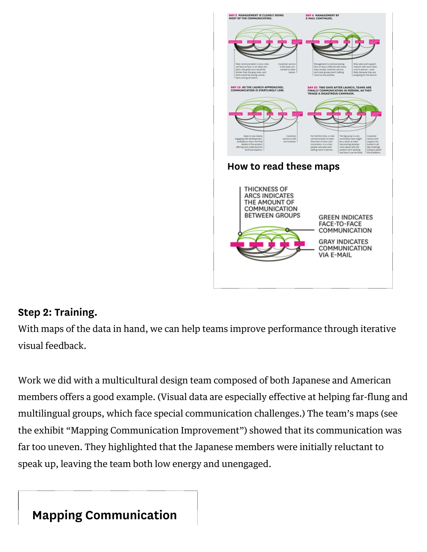

## Step 2: Training.

With maps of the data in hand, we can help teams improve performance through iterative visual feedback.

Work we did with a multicultural design team composed of both Japanese and American members offers a good example. (Visual data are especially effective at helping far-flung and multilingual groups, which face special communication challenges.) The team's maps (see the exhibit "Mapping Communication Improvement") showed that its communication was far too uneven. They highlighted that the Japanese members were initially reluctant to speak up, leaving the team both low energy and unengaged.

# Mapping Communication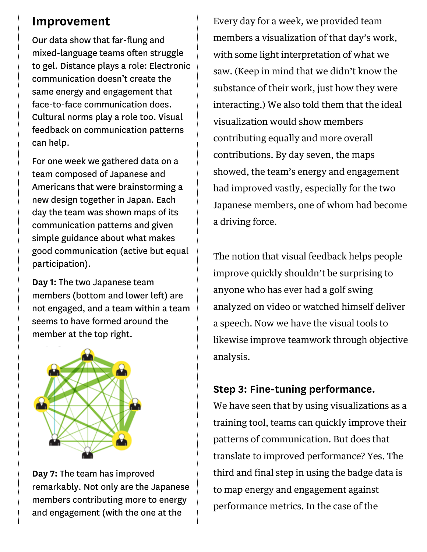## Improvement

Our data show that far-flung and mixed-language teams often struggle to gel. Distance plays a role: Electronic communication doesn't create the same energy and engagement that face-to-face communication does. Cultural norms play a role too. Visual feedback on communication patterns can help.

For one week we gathered data on a team composed of Japanese and Americans that were brainstorming a new design together in Japan. Each day the team was shown maps of its communication patterns and given simple guidance about what makes good communication (active but equal participation).

Day 1: The two Japanese team members (bottom and lower left) are not engaged, and a team within a team seems to have formed around the member at the top right.



Day 7: The team has improved remarkably. Not only are the Japanese members contributing more to energy and engagement (with the one at the

Every day for a week, we provided team members a visualization of that day's work, with some light interpretation of what we saw. (Keep in mind that we didn't know the substance of their work, just how they were interacting.) We also told them that the ideal visualization would show members contributing equally and more overall contributions. By day seven, the maps showed, the team's energy and engagement had improved vastly, especially for the two Japanese members, one of whom had become a driving force.

The notion that visual feedback helps people improve quickly shouldn't be surprising to anyone who has ever had a golf swing analyzed on video or watched himself deliver a speech. Now we have the visual tools to likewise improve teamwork through objective analysis.

#### Step 3: Fine-tuning performance.

We have seen that by using visualizations as a training tool, teams can quickly improve their patterns of communication. But does that translate to improved performance? Yes. The third and final step in using the badge data is to map energy and engagement against performance metrics. In the case of the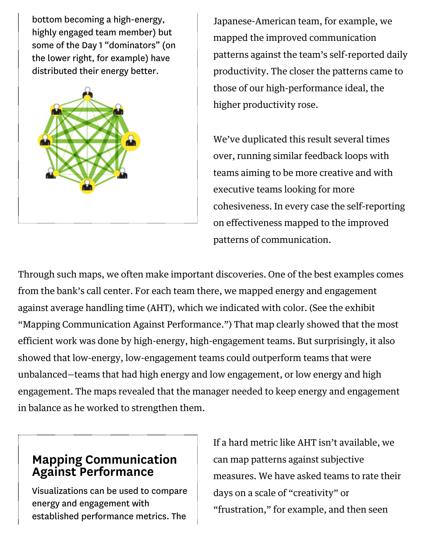bottom becoming a high-energy, highly engaged team member) but some of the Day 1 "dominators" (on the lower right, for example) have distributed their energy better.



Japanese-American team, for example, we mapped the improved communication patterns against the team's self-reported daily productivity. The closer the patterns came to those of our high-performance ideal, the higher productivity rose.

We've duplicated this result several times over, running similar feedback loops with teams aiming to be more creative and with executive teams looking for more cohesiveness. In every case the self-reporting on effectiveness mapped to the improved patterns of communication.

Through such maps, we often make important discoveries. One of the best examples comes from the bank's call center. For each team there, we mapped energy and engagement against average handling time (AHT), which we indicated with color. (See the exhibit "Mapping Communication Against Performance.") That map clearly showed that the most efficient work was done by high-energy, high-engagement teams. But surprisingly, it also showed that low-energy, low-engagement teams could outperform teams that were unbalanced—teams that had high energy and low engagement, or low energy and high engagement. The maps revealed that the manager needed to keep energy and engagement in balance as he worked to strengthen them.

## Mapping Communication Against Performance

Visualizations can be used to compare energy and engagement with established performance metrics. The

If a hard metric like AHT isn't available, we can map patterns against subjective measures. We have asked teams to rate their days on a scale of "creativity" or "frustration," for example, and then seen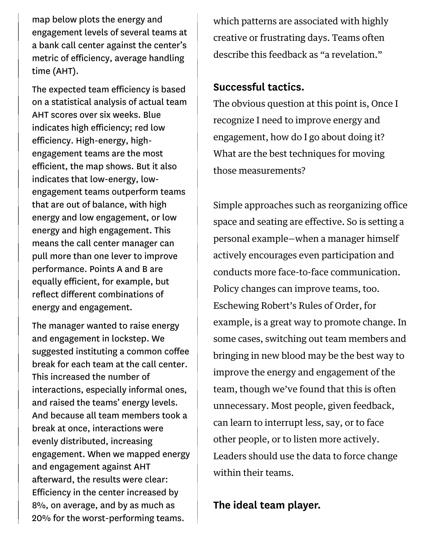map below plots the energy and engagement levels of several teams at a bank call center against the center's metric of efficiency, average handling time (AHT).

The expected team efficiency is based on a statistical analysis of actual team AHT scores over six weeks. Blue indicates high efficiency; red low efficiency. High-energy, highengagement teams are the most efficient, the map shows. But it also indicates that low-energy, lowengagement teams outperform teams that are out of balance, with high energy and low engagement, or low energy and high engagement. This means the call center manager can pull more than one lever to improve performance. Points A and B are equally efficient, for example, but reflect different combinations of energy and engagement.

The manager wanted to raise energy and engagement in lockstep. We suggested instituting a common coffee break for each team at the call center. This increased the number of interactions, especially informal ones, and raised the teams' energy levels. And because all team members took a break at once, interactions were evenly distributed, increasing engagement. When we mapped energy and engagement against AHT afterward, the results were clear: Efficiency in the center increased by 8%, on average, and by as much as 20% for the worst-performing teams.

which patterns are associated with highly creative or frustrating days. Teams often describe this feedback as "a revelation."

#### Successful tactics.

The obvious question at this point is, Once I recognize I need to improve energy and engagement, how do I go about doing it? What are the best techniques for moving those measurements?

Simple approaches such as reorganizing office space and seating are effective. So is setting a personal example—when a manager himself actively encourages even participation and conducts more face-to-face communication. Policy changes can improve teams, too. Eschewing Robert's Rules of Order, for example, is a great way to promote change. In some cases, switching out team members and bringing in new blood may be the best way to improve the energy and engagement of the team, though we've found that this is often unnecessary. Most people, given feedback, can learn to interrupt less, say, or to face other people, or to listen more actively. Leaders should use the data to force change within their teams.

The ideal team player.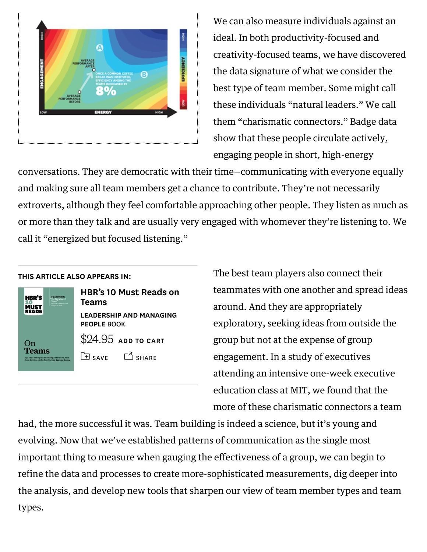

We can also measure individuals against an ideal. In both productivity-focused and creativity-focused teams, we have discovered the data signature of what we consider the best type of team member. Some might call these individuals "natural leaders." We call them "charismatic connectors." Badge data show that these people circulate actively, engaging people in short, high-energy

conversations. They are democratic with their time—communicating with everyone equally and making sure all team members get a chance to contribute. They're not necessarily extroverts, although they feel comfortable approaching other people. They listen as much as or more than they talk and are usually very engaged with whomever they're listening to. We call it "energized but focused listening."

#### THIS ARTICLE ALSO APPEARS IN:



The best team players also connect their teammates with one another and spread ideas around. And they are appropriately exploratory, seeking ideas from outside the group but not at the expense of group engagement. In a study of executives attending an intensive one-week executive education class at MIT, we found that the more of these charismatic connectors a team

had, the more successful it was. Team building is indeed a science, but it's young and evolving. Now that we've established patterns of communication as the single most important thing to measure when gauging the effectiveness of a group, we can begin to refine the data and processes to create more-sophisticated measurements, dig deeper into the analysis, and develop new tools that sharpen our view of team member types and team types.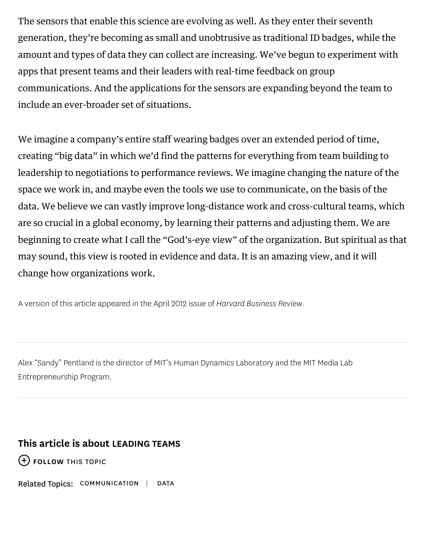The sensors that enable this science are evolving as well. As they enter their seventh generation, they're becoming as small and unobtrusive as traditional ID badges, while the amount and types of data they can collect are increasing. We've begun to experiment with apps that present teams and their leaders with real-time feedback on group communications. And the applications for the sensors are expanding beyond the team to include an ever-broader set of situations.

We imagine a company's entire staff wearing badges over an extended period of time, creating "big data" in which we'd find the patterns for everything from team building to leadership to negotiations to performance reviews. We imagine changing the nature of the space we work in, and maybe even the tools we use to communicate, on the basis of the data. We believe we can vastly improve long-distance work and cross-cultural teams, which are so crucial in a global economy, by learning their patterns and adjusting them. We are beginning to create what I call the "God's-eye view" of the organization. But spiritual as that may sound, this view is rooted in evidence and data. It is an amazing view, and it will change how organizations work.

A version of this article appeared in the [April 2012](https://hbr.org/archive-toc/BR1204) issue of Harvard Business Review.

Alex "Sandy" Pentland is the director of MIT's Human Dynamics Laboratory and the MIT Media Lab Entrepreneurship Program.

This article is about [LEADING TEAMS](https://hbr.org/topic/leading-teams)

 $(\texttt{+})$  follow this topic

Related Topics: [COMMUNICATION](https://hbr.org/topic/communication) | [DATA](https://hbr.org/topic/data)